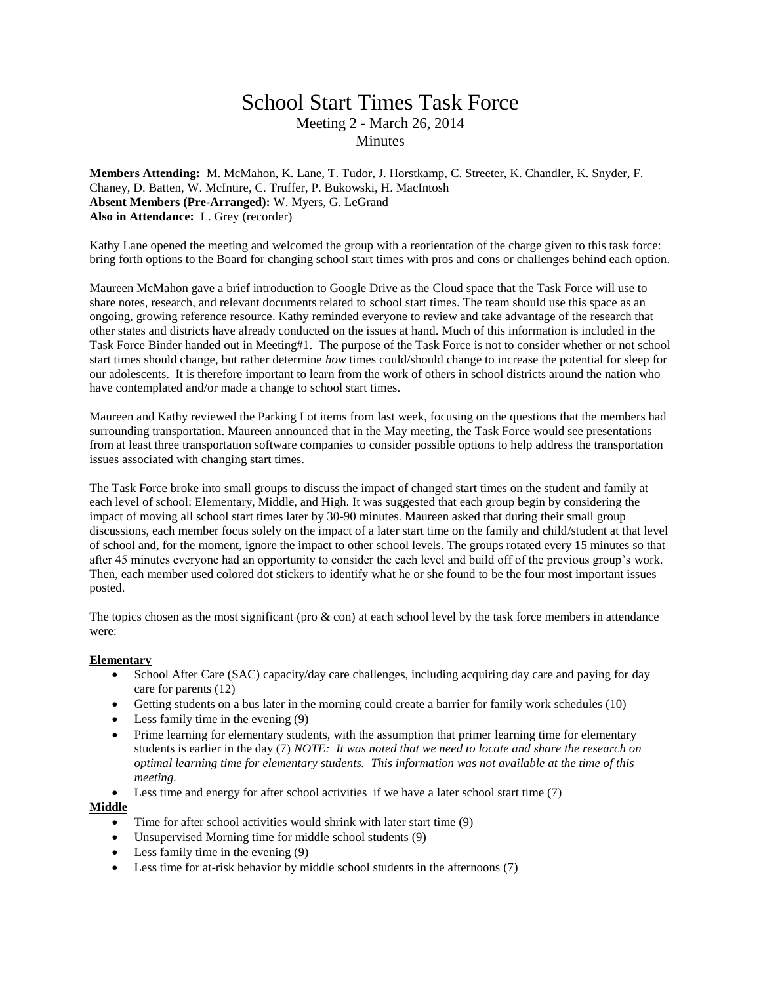## School Start Times Task Force Meeting 2 - March 26, 2014 **Minutes**

**Members Attending:** M. McMahon, K. Lane, T. Tudor, J. Horstkamp, C. Streeter, K. Chandler, K. Snyder, F. Chaney, D. Batten, W. McIntire, C. Truffer, P. Bukowski, H. MacIntosh **Absent Members (Pre-Arranged):** W. Myers, G. LeGrand **Also in Attendance:** L. Grey (recorder)

Kathy Lane opened the meeting and welcomed the group with a reorientation of the charge given to this task force: bring forth options to the Board for changing school start times with pros and cons or challenges behind each option.

Maureen McMahon gave a brief introduction to Google Drive as the Cloud space that the Task Force will use to share notes, research, and relevant documents related to school start times. The team should use this space as an ongoing, growing reference resource. Kathy reminded everyone to review and take advantage of the research that other states and districts have already conducted on the issues at hand. Much of this information is included in the Task Force Binder handed out in Meeting#1. The purpose of the Task Force is not to consider whether or not school start times should change, but rather determine *how* times could/should change to increase the potential for sleep for our adolescents. It is therefore important to learn from the work of others in school districts around the nation who have contemplated and/or made a change to school start times.

Maureen and Kathy reviewed the Parking Lot items from last week, focusing on the questions that the members had surrounding transportation. Maureen announced that in the May meeting, the Task Force would see presentations from at least three transportation software companies to consider possible options to help address the transportation issues associated with changing start times.

The Task Force broke into small groups to discuss the impact of changed start times on the student and family at each level of school: Elementary, Middle, and High. It was suggested that each group begin by considering the impact of moving all school start times later by 30-90 minutes. Maureen asked that during their small group discussions, each member focus solely on the impact of a later start time on the family and child/student at that level of school and, for the moment, ignore the impact to other school levels. The groups rotated every 15 minutes so that after 45 minutes everyone had an opportunity to consider the each level and build off of the previous group's work. Then, each member used colored dot stickers to identify what he or she found to be the four most important issues posted.

The topics chosen as the most significant (pro  $\&$  con) at each school level by the task force members in attendance were:

## **Elementary**

- School After Care (SAC) capacity/day care challenges, including acquiring day care and paying for day care for parents (12)
- Getting students on a bus later in the morning could create a barrier for family work schedules (10)
- $\bullet$  Less family time in the evening (9)
- Prime learning for elementary students, with the assumption that primer learning time for elementary students is earlier in the day (7) *NOTE: It was noted that we need to locate and share the research on optimal learning time for elementary students. This information was not available at the time of this meeting.*
- Less time and energy for after school activities if we have a later school start time (7)

## **Middle**

- Time for after school activities would shrink with later start time (9)
- Unsupervised Morning time for middle school students (9)
- $\bullet$  Less family time in the evening (9)
- Less time for at-risk behavior by middle school students in the afternoons (7)